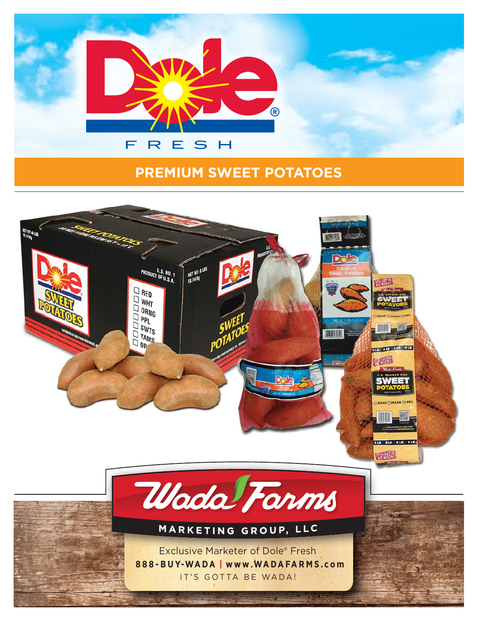

## **PREMIUM SWEET POTATOES**